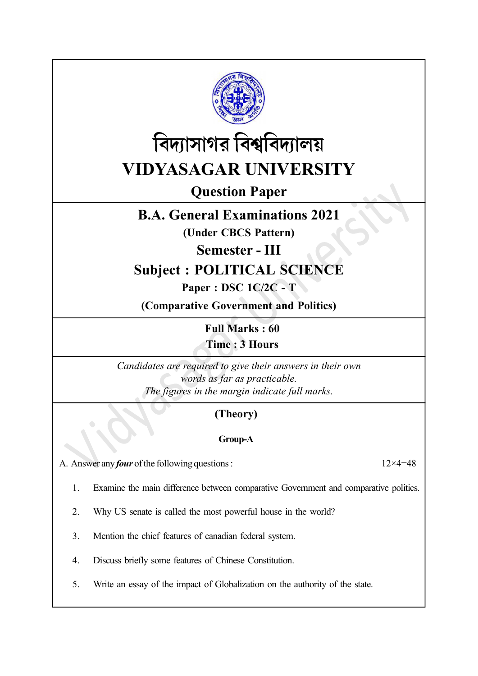



Question Paper

# B.A. General Examinations 2021

(Under CBCS Pattern)

Semester - III

# Subject : POLITICAL SCIENCE

## Paper : DSC 1C/2C - T

(Comparative Government and Politics)

Full Marks : 60 Time : 3 Hours

Candidates are required to give their answers in their own words as far as practicable. The figures in the margin indicate full marks.

# (Theory)

## Group-A

A. Answer any *four* of the following questions :  $12 \times 4 = 48$ 

1. Examine the main difference between comparative Government and comparative politics.

2. Why US senate is called the most powerful house in the world?

3. Mention the chief features of canadian federal system.

4. Discuss briefly some features of Chinese Constitution.

5. Write an essay of the impact of Globalization on the authority of the state.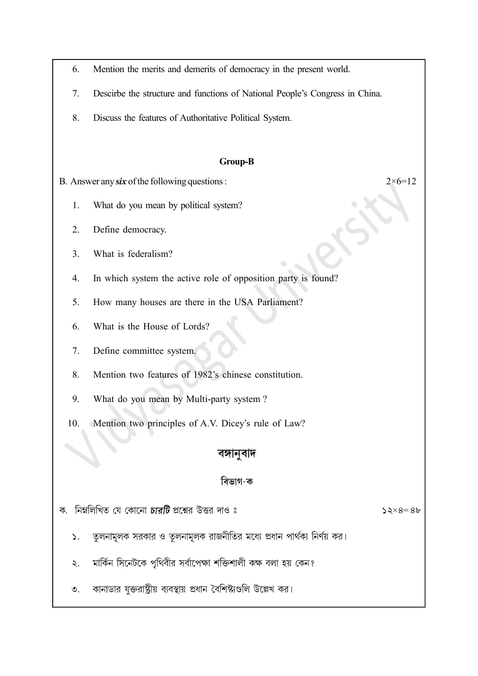- 6. Mention the merits and demerits of democracy in the present world.
- 7. Descirbe the structure and functions of National People's Congress in China.
- 8. Discuss the features of Authoritative Political System.

#### Group-B

B. Answer any six of the following questions :  $2 \times 6 = 12$ 

- 1. What do you mean by political system?
- 2. Define democracy.
- 3. What is federalism?
- 4. In which system the active role of opposition party is found?
- 5. How many houses are there in the USA Parliament?
- 6. What is the House of Lords?
- 7. Define committee system.
- 8. Mention two features of 1982's chinese constitution.
- 9. What do you mean by Multi-party system ?
- 10. Mention two principles of A.V. Dicey's rule of Law?

### বঙ্গানুবাদ

### বিভাগ-ক

| ক.  নিম্নলিখিত যে কোনো <i>চারটি</i> প্রশ্নের উত্তর দাও ঃ |  |  |  |  |
|----------------------------------------------------------|--|--|--|--|
|                                                          |  |  |  |  |

 $52\times8=86$ 

- তুলনামূলক সরকার ও তুলনামূলক রাজনীতির মধ্যে প্রধান পার্থক্য নির্ণয় কর।  $\mathcal{L}$ .
- মার্কিন সিনেটকে পৃথিবীর সর্বাপেক্ষা শক্তিশালী কক্ষ বলা হয় কেন? ২.
- কানাডার যুক্তরাষ্ট্রীয় ব্যবস্থায় প্রধান বৈশিষ্ট্যগুলি উল্লেখ কর।  $\mathcal{O}_{\mathcal{L}}$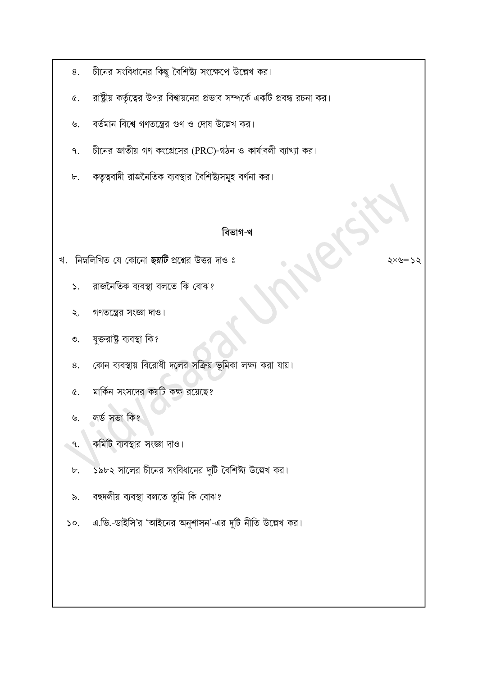- চীনের সংবিধানের কিছু বৈশিষ্ট্য সংক্ষেপে উল্লেখ কর। 8.
- রাষ্ট্রীয় কর্তৃত্বের উপর বিশ্বায়নের প্রভাব সম্পর্কে একটি প্রবন্ধ রচনা কর।  $\alpha$ .
- বর্তমান বিশ্বে গণতন্ত্রের গুণ ও দোষ উল্লেখ কর।  $\mathcal{P}$
- চীনের জাতীয় গণ কংগ্রেসের (PRC)-গঠন ও কার্যাবলী ব্যাখ্যা কর।  $\mathsf{P}$ .
- কতৃত্ববাদী রাজনৈতিক ব্যবস্থার বৈশিষ্ট্যসমূহ বর্ণনা কর। ৮.

### বিভাগ-খ

খ. নিম্নলিখিত যে কোনো ছয়টি প্রশ্নের উত্তর দাও ঃ

- রাজনৈতিক ব্যবস্থা বলতে কি বোঝ?  $\mathsf{S}_{\mathsf{L}}$
- গণতন্ত্রের সংজ্ঞা দাও।  $\lambda$ .
- যুক্তরাষ্ট্র ব্যবস্থা কি?  $\mathcal{O}$ .
- কোন ব্যবস্থায় বিরোধী দলের সক্রিয় ভূমিকা লক্ষ্য করা যায়। 8.
- মার্কিন সংসদের কয়টি কক্ষ রয়েছে?  $\alpha$ .
- লৰ্ড সভা কি?  $\mathcal{S}.$
- কমিটি ব্যবস্থার সংজ্ঞা দাও।  $\mathcal{A}$ .
- ১৯৮২ সালের চীনের সংবিধানের দুটি বৈশিষ্ট্য উল্লেখ কর।  $\mathbf{b}$ .
- বহুদলীয় ব্যবস্থা বলতে তুমি কি বোঝ?  $\delta$ .
- এ.ভি.-ডাইসি'র 'আইনের অনুশাসন'-এর দুটি নীতি উল্লেখ কর।  $\mathcal{L}$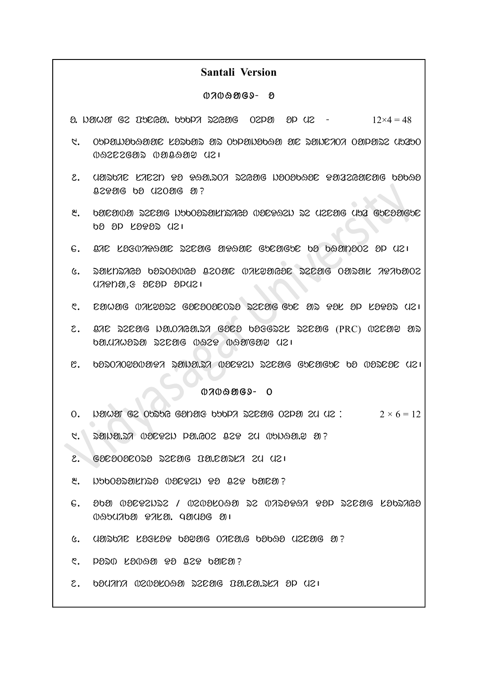#### Santali Version

#### $0700909 - 8$

 $\Omega$ . Nether Ge Tunglier, which is a second open  $\Omega$  or  $\Omega$  is  $\Omega$   $\sim$   $12\times4 = 48$ 

- $1.$  . Oppindogding lasong as Oppindogd ar Sanc $707$  Oppins2 (15250  $0.0222693$   $0.999999$   $0.21$
- 2. UMDOAC LAC2N PO PQM.DOA DZGMG NOOOOQOC PMAZGMCMG OOOQO  $Q29906$  ba  $Q20906$   $90$ ?
- $8.$  baneara persag haposaskrivars raestash as usear util gaesargae  $60.8P$   $K999D$   $U21$
- $6.$  and legewhood deals about guaded by boan 202 . By U2 i
- $6.$  pakneras badoarea 820ar rakaras eztar 0apak 7076a02  $U$  $A$  $P$  $D$  $B$ , $S$   $D$  $C$  $D$  $D$  $D$  $D$  $D$  $D$  $D$
- $\mathcal{C}$ . Damaig interest gadaoadosa szdaig gpd as Par ap LaBas (12)
- $2.$  and search wow one and core beresse search (PRC) ween are ka.mihora renag bHeD bHaNgaw me|
- $\mathbb{C}$ . bodozopavatez danalda wartan darage guragur bo wadrar ya $\mathbb{R}$

#### $0709969 - 0$

- 0. UNUA GE OUSUG GONORS UUDA SEENG OEDER 20 UE:  $2 \times 6 = 12$
- $1.$  . Sunates obsect bate of a set an oppear as
- 2 . gonoTonTro renag Pa.narsi em me|
- $8.$  DubOosalnso oper an  $929$  and  $0.29$
- $6.$  202 01262122 / 02026092 22 07234897  $99P$  22626 6302768  $0.850700$   $0.7000$ .  $0.90000$   $0.1$
- $6.$  UMSOR LOGLOG OUDE ORDAG OOOS UZENG M?
- $C.$  pand  $K$ anaa  $9$   $9$   $9$   $29$   $6$   $6$  $6$  $6$  $3$  $7$
- $2.$  bedang ozoelose szag relanska ep dzi